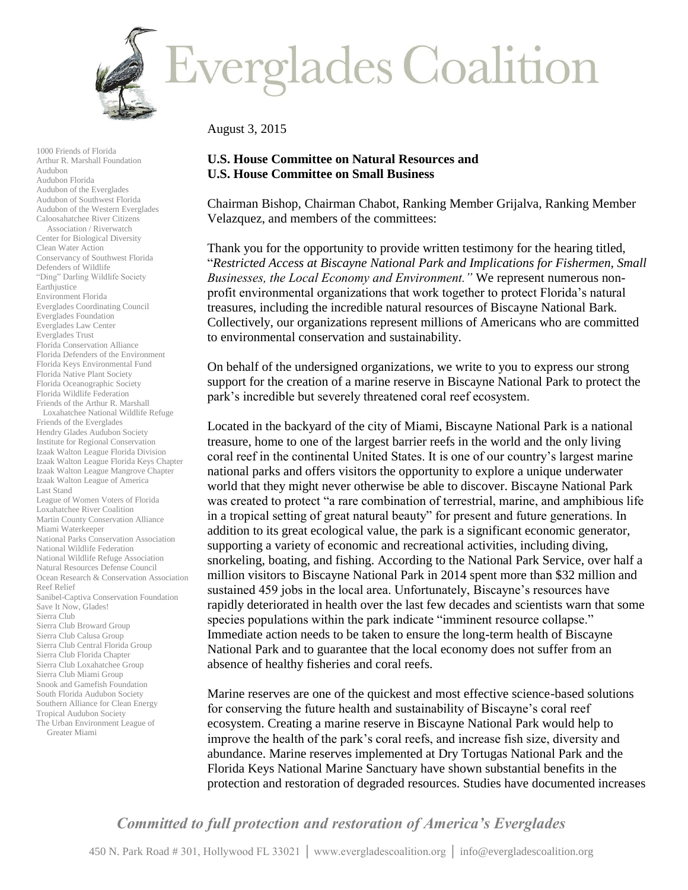

1000 Friends of Florida Arthur R. Marshall Foundation Audubon Audubon Florida Audubon of the Everglades Audubon of Southwest Florida Audubon of the Western Everglades Caloosahatchee River Citizens Association / Riverwatch Center for Biological Diversity Clean Water Action Conservancy of Southwest Florida Defenders of Wildlife "Ding" Darling Wildlife Society Earthjustice Environment Florida Everglades Coordinating Council Everglades Foundation Everglades Law Center Everglades Trust Florida Conservation Alliance Florida Defenders of the Environment Florida Keys Environmental Fund Florida Native Plant Society Florida Oceanographic Society Florida Wildlife Federation Friends of the Arthur R. Marshall Loxahatchee National Wildlife Refuge Friends of the Everglades Hendry Glades Audubon Society Institute for Regional Conservation Izaak Walton League Florida Division Izaak Walton League Florida Keys Chapter Izaak Walton League Mangrove Chapter Izaak Walton League of America Last Stand League of Women Voters of Florida Loxahatchee River Coalition Martin County Conservation Alliance Miami Waterkeeper National Parks Conservation Association National Wildlife Federation National Wildlife Refuge Association Natural Resources Defense Council Ocean Research & Conservation Association Reef Relief Sanibel-Captiva Conservation Foundation Save It Now, Glades! Sierra Club Sierra Club Broward Group Sierra Club Calusa Group Sierra Club Central Florida Group Sierra Club Florida Chapter Sierra Club Loxahatchee Group Sierra Club Miami Group Snook and Gamefish Foundation South Florida Audubon Society Southern Alliance for Clean Energy Tropical Audubon Society The Urban Environment League of

## Greater Miami

August 3, 2015

## **U.S. House Committee on Natural Resources and U.S. House Committee on Small Business**

Chairman Bishop, Chairman Chabot, Ranking Member Grijalva, Ranking Member Velazquez, and members of the committees:

Thank you for the opportunity to provide written testimony for the hearing titled, "*Restricted Access at Biscayne National Park and Implications for Fishermen, Small Businesses, the Local Economy and Environment."* We represent numerous nonprofit environmental organizations that work together to protect Florida's natural treasures, including the incredible natural resources of Biscayne National Bark. Collectively, our organizations represent millions of Americans who are committed to environmental conservation and sustainability.

On behalf of the undersigned organizations, we write to you to express our strong support for the creation of a marine reserve in Biscayne National Park to protect the park's incredible but severely threatened coral reef ecosystem.

Located in the backyard of the city of Miami, Biscayne National Park is a national treasure, home to one of the largest barrier reefs in the world and the only living coral reef in the continental United States. It is one of our country's largest marine national parks and offers visitors the opportunity to explore a unique underwater world that they might never otherwise be able to discover. Biscayne National Park was created to protect "a rare combination of terrestrial, marine, and amphibious life in a tropical setting of great natural beauty" for present and future generations. In addition to its great ecological value, the park is a significant economic generator, supporting a variety of economic and recreational activities, including diving, snorkeling, boating, and fishing. According to the National Park Service, over half a million visitors to Biscayne National Park in 2014 spent more than \$32 million and sustained 459 jobs in the local area. Unfortunately, Biscayne's resources have rapidly deteriorated in health over the last few decades and scientists warn that some species populations within the park indicate "imminent resource collapse." Immediate action needs to be taken to ensure the long-term health of Biscayne National Park and to guarantee that the local economy does not suffer from an absence of healthy fisheries and coral reefs.

Marine reserves are one of the quickest and most effective science-based solutions for conserving the future health and sustainability of Biscayne's coral reef ecosystem. Creating a marine reserve in Biscayne National Park would help to improve the health of the park's coral reefs, and increase fish size, diversity and abundance. Marine reserves implemented at Dry Tortugas National Park and the Florida Keys National Marine Sanctuary have shown substantial benefits in the protection and restoration of degraded resources. Studies have documented increases

## *Committed to full protection and restoration of America's Everglades*